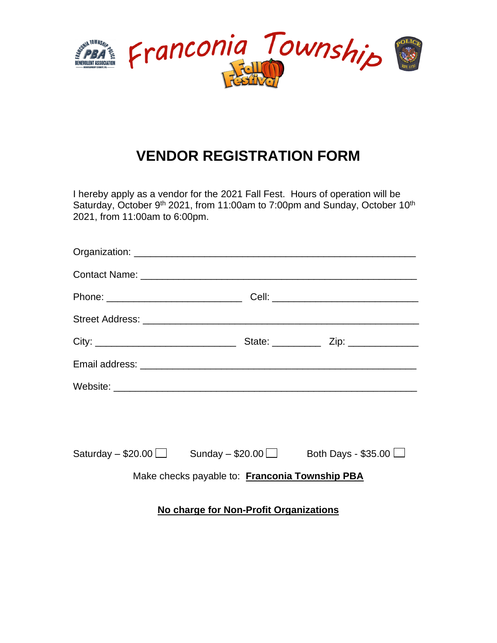

## **VENDOR REGISTRATION FORM**

I hereby apply as a vendor for the 2021 Fall Fest. Hours of operation will be Saturday, October 9<sup>th</sup> 2021, from 11:00am to 7:00pm and Sunday, October 10<sup>th</sup> 2021, from 11:00am to 6:00pm.

|                                                |                                                                                  | Phone: ___________________________________Cell: ________________________________ |
|------------------------------------------------|----------------------------------------------------------------------------------|----------------------------------------------------------------------------------|
|                                                |                                                                                  |                                                                                  |
|                                                |                                                                                  |                                                                                  |
|                                                |                                                                                  |                                                                                  |
|                                                |                                                                                  |                                                                                  |
|                                                |                                                                                  |                                                                                  |
|                                                |                                                                                  |                                                                                  |
|                                                | Saturday $-$ \$20.00 $\Box$ Sunday $-$ \$20.00 $\Box$ Both Days - \$35.00 $\Box$ |                                                                                  |
| Make checks payable to: Franconia Township PBA |                                                                                  |                                                                                  |
| No charge for Non-Profit Organizations         |                                                                                  |                                                                                  |